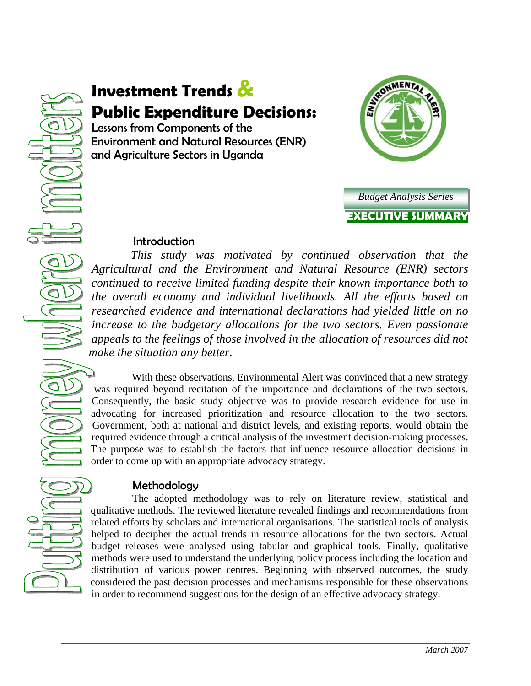# **Investment Trends & Public Expenditure Decisions:**

Lessons from Components of the Environment and Natural Resources (ENR) and Agriculture Sectors in Uganda





## Introduction

 *This study was motivated by continued observation that the Agricultural and the Environment and Natural Resource (ENR) sectors continued to receive limited funding despite their known importance both to the overall economy and individual livelihoods. All the efforts based on researched evidence and international declarations had yielded little on no increase to the budgetary allocations for the two sectors. Even passionate appeals to the feelings of those involved in the allocation of resources did not make the situation any better.* 

 With these observations, Environmental Alert was convinced that a new strategy was required beyond recitation of the importance and declarations of the two sectors. Consequently, the basic study objective was to provide research evidence for use in advocating for increased prioritization and resource allocation to the two sectors. Government, both at national and district levels, and existing reports, would obtain the required evidence through a critical analysis of the investment decision-making processes. The purpose was to establish the factors that influence resource allocation decisions in order to come up with an appropriate advocacy strategy.

## Methodology

 The adopted methodology was to rely on literature review, statistical and qualitative methods. The reviewed literature revealed findings and recommendations from related efforts by scholars and international organisations. The statistical tools of analysis helped to decipher the actual trends in resource allocations for the two sectors. Actual budget releases were analysed using tabular and graphical tools. Finally, qualitative methods were used to understand the underlying policy process including the location and distribution of various power centres. Beginning with observed outcomes, the study considered the past decision processes and mechanisms responsible for these observations in order to recommend suggestions for the design of an effective advocacy strategy.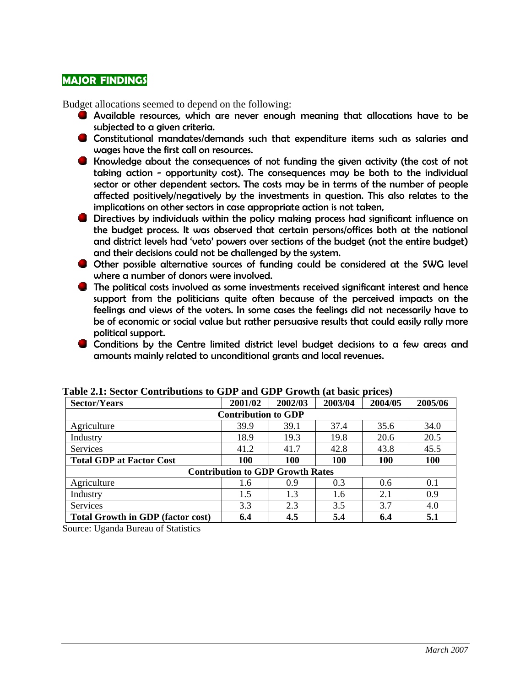## **MAJOR FINDINGS**

Budget allocations seemed to depend on the following:

- Available resources, which are never enough meaning that allocations have to be subjected to a given criteria.
- Constitutional mandates/demands such that expenditure items such as salaries and wages have the first call on resources.
- Knowledge about the consequences of not funding the given activity (the cost of not taking action - opportunity cost). The consequences may be both to the individual sector or other dependent sectors. The costs may be in terms of the number of people affected positively/negatively by the investments in question. This also relates to the implications on other sectors in case appropriate action is not taken,
- **Directives by individuals within the policy making process had significant influence on** the budget process. It was observed that certain persons/offices both at the national and district levels had 'veto' powers over sections of the budget (not the entire budget) and their decisions could not be challenged by the system.
- Other possible alternative sources of funding could be considered at the SWG level where a number of donors were involved.
- The political costs involved as some investments received significant interest and hence support from the politicians quite often because of the perceived impacts on the feelings and views of the voters. In some cases the feelings did not necessarily have to be of economic or social value but rather persuasive results that could easily rally more political support.
- Conditions by the Centre limited district level budget decisions to a few areas and amounts mainly related to unconditional grants and local revenues.

| <b>Sector/Years</b>                      | 2001/02    | 2002/03 | 2003/04 | 2004/05    | 2005/06 |
|------------------------------------------|------------|---------|---------|------------|---------|
| <b>Contribution to GDP</b>               |            |         |         |            |         |
| Agriculture                              | 39.9       | 39.1    | 37.4    | 35.6       | 34.0    |
| Industry                                 | 18.9       | 19.3    | 19.8    | 20.6       | 20.5    |
| <b>Services</b>                          | 41.2       | 41.7    | 42.8    | 43.8       | 45.5    |
| <b>Total GDP at Factor Cost</b>          | <b>100</b> | 100     | 100     | <b>100</b> | 100     |
| <b>Contribution to GDP Growth Rates</b>  |            |         |         |            |         |
| Agriculture                              | 1.6        | 0.9     | 0.3     | 0.6        | 0.1     |
| Industry                                 | 1.5        | 1.3     | 1.6     | 2.1        | 0.9     |
| <b>Services</b>                          | 3.3        | 2.3     | 3.5     | 3.7        | 4.0     |
| <b>Total Growth in GDP (factor cost)</b> | 6.4        | 4.5     | 5.4     | 6.4        | 5.1     |

**Table 2.1: Sector Contributions to GDP and GDP Growth (at basic prices)** 

Source: Uganda Bureau of Statistics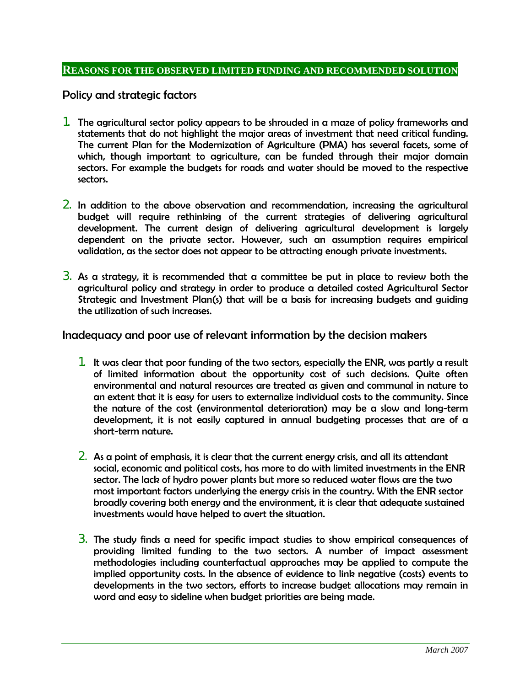#### **REASONS FOR THE OBSERVED LIMITED FUNDING AND RECOMMENDED SOLUTION**

Policy and strategic factors

- 1. The agricultural sector policy appears to be shrouded in a maze of policy frameworks and statements that do not highlight the major areas of investment that need critical funding. The current Plan for the Modernization of Agriculture (PMA) has several facets, some of which, though important to agriculture, can be funded through their major domain sectors. For example the budgets for roads and water should be moved to the respective sectors.
- 2. In addition to the above observation and recommendation, increasing the agricultural budget will require rethinking of the current strategies of delivering agricultural development. The current design of delivering agricultural development is largely dependent on the private sector. However, such an assumption requires empirical validation, as the sector does not appear to be attracting enough private investments.
- **3.** As a strategy, it is recommended that a committee be put in place to review both the agricultural policy and strategy in order to produce a detailed costed Agricultural Sector Strategic and Investment Plan(s) that will be a basis for increasing budgets and guiding the utilization of such increases.

#### Inadequacy and poor use of relevant information by the decision makers

- 1. It was clear that poor funding of the two sectors, especially the ENR, was partly a result of limited information about the opportunity cost of such decisions. Quite often environmental and natural resources are treated as given and communal in nature to an extent that it is easy for users to externalize individual costs to the community. Since the nature of the cost (environmental deterioration) may be a slow and long-term development, it is not easily captured in annual budgeting processes that are of a short-term nature.
- 2. As a point of emphasis, it is clear that the current energy crisis, and all its attendant social, economic and political costs, has more to do with limited investments in the ENR sector. The lack of hydro power plants but more so reduced water flows are the two most important factors underlying the energy crisis in the country. With the ENR sector broadly covering both energy and the environment, it is clear that adequate sustained investments would have helped to avert the situation.
- 3. The study finds a need for specific impact studies to show empirical consequences of providing limited funding to the two sectors. A number of impact assessment methodologies including counterfactual approaches may be applied to compute the implied opportunity costs. In the absence of evidence to link negative (costs) events to developments in the two sectors, efforts to increase budget allocations may remain in word and easy to sideline when budget priorities are being made.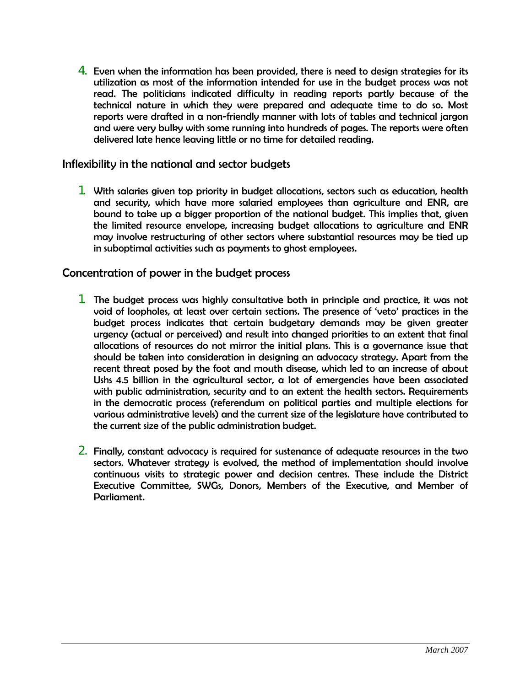4. Even when the information has been provided, there is need to design strategies for its utilization as most of the information intended for use in the budget process was not read. The politicians indicated difficulty in reading reports partly because of the technical nature in which they were prepared and adequate time to do so. Most reports were drafted in a non-friendly manner with lots of tables and technical jargon and were very bulky with some running into hundreds of pages. The reports were often delivered late hence leaving little or no time for detailed reading.

## Inflexibility in the national and sector budgets

1. With salaries given top priority in budget allocations, sectors such as education, health and security, which have more salaried employees than agriculture and ENR, are bound to take up a bigger proportion of the national budget. This implies that, given the limited resource envelope, increasing budget allocations to agriculture and ENR may involve restructuring of other sectors where substantial resources may be tied up in suboptimal activities such as payments to ghost employees.

## Concentration of power in the budget process

- 1. The budget process was highly consultative both in principle and practice, it was not void of loopholes, at least over certain sections. The presence of 'veto' practices in the budget process indicates that certain budgetary demands may be given greater urgency (actual or perceived) and result into changed priorities to an extent that final allocations of resources do not mirror the initial plans. This is a governance issue that should be taken into consideration in designing an advocacy strategy. Apart from the recent threat posed by the foot and mouth disease, which led to an increase of about Ushs 4.5 billion in the agricultural sector, a lot of emergencies have been associated with public administration, security and to an extent the health sectors. Requirements in the democratic process (referendum on political parties and multiple elections for various administrative levels) and the current size of the legislature have contributed to the current size of the public administration budget.
- 2. Finally, constant advocacy is required for sustenance of adequate resources in the two sectors. Whatever strategy is evolved, the method of implementation should involve continuous visits to strategic power and decision centres. These include the District Executive Committee, SWGs, Donors, Members of the Executive, and Member of Parliament.